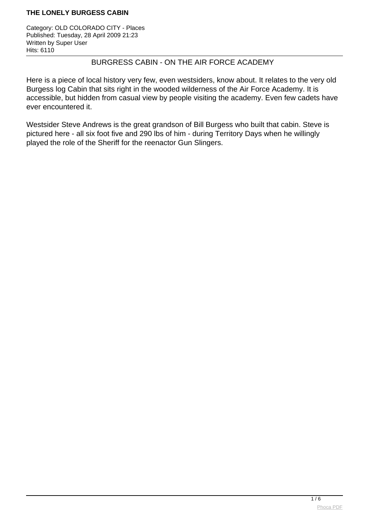Category: OLD COLORADO CITY - Places Published: Tuesday, 28 April 2009 21:23 Written by Super User Hits: 6110

### BURGRESS CABIN - ON THE AIR FORCE ACADEMY

Here is a piece of local history very few, even westsiders, know about. It relates to the very old Burgess log Cabin that sits right in the wooded wilderness of the Air Force Academy. It is accessible, but hidden from casual view by people visiting the academy. Even few cadets have ever encountered it.

Westsider Steve Andrews is the great grandson of Bill Burgess who built that cabin. Steve is pictured here - all six foot five and 290 lbs of him - during Territory Days when he willingly played the role of the Sheriff for the reenactor Gun Slingers.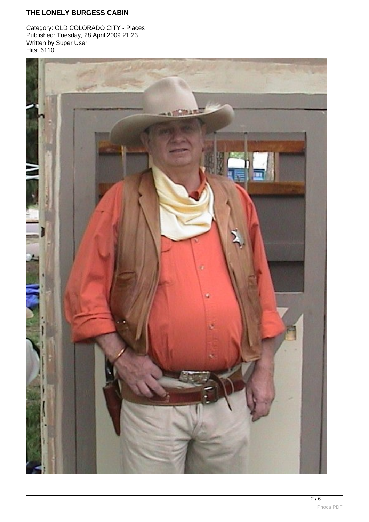Category: OLD COLORADO CITY - Places Published: Tuesday, 28 April 2009 21:23 Written by Super User Hits: 6110

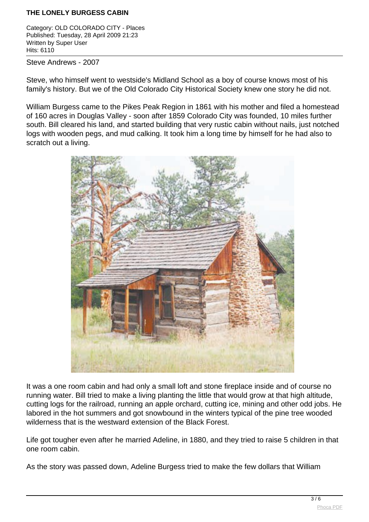Category: OLD COLORADO CITY - Places Published: Tuesday, 28 April 2009 21:23 Written by Super User Hits: 6110

Steve Andrews - 2007

Steve, who himself went to westside's Midland School as a boy of course knows most of his family's history. But we of the Old Colorado City Historical Society knew one story he did not.

William Burgess came to the Pikes Peak Region in 1861 with his mother and filed a homestead of 160 acres in Douglas Valley - soon after 1859 Colorado City was founded, 10 miles further south. Bill cleared his land, and started building that very rustic cabin without nails, just notched logs with wooden pegs, and mud calking. It took him a long time by himself for he had also to scratch out a living.



It was a one room cabin and had only a small loft and stone fireplace inside and of course no running water. Bill tried to make a living planting the little that would grow at that high altitude, cutting logs for the railroad, running an apple orchard, cutting ice, mining and other odd jobs. He labored in the hot summers and got snowbound in the winters typical of the pine tree wooded wilderness that is the westward extension of the Black Forest.

Life got tougher even after he married Adeline, in 1880, and they tried to raise 5 children in that one room cabin.

As the story was passed down, Adeline Burgess tried to make the few dollars that William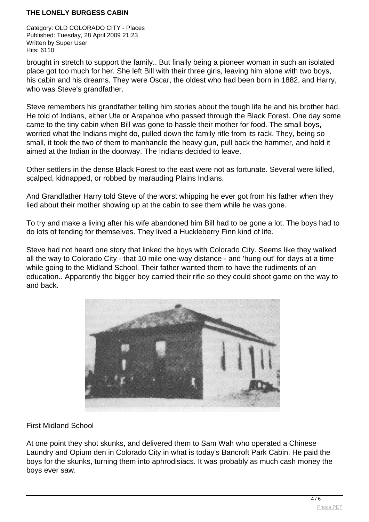Category: OLD COLORADO CITY - Places Published: Tuesday, 28 April 2009 21:23 Written by Super User Hits: 6110

brought in stretch to support the family.. But finally being a pioneer woman in such an isolated place got too much for her. She left Bill with their three girls, leaving him alone with two boys, his cabin and his dreams. They were Oscar, the oldest who had been born in 1882, and Harry, who was Steve's grandfather.

Steve remembers his grandfather telling him stories about the tough life he and his brother had. He told of Indians, either Ute or Arapahoe who passed through the Black Forest. One day some came to the tiny cabin when Bill was gone to hassle their mother for food. The small boys, worried what the Indians might do, pulled down the family rifle from its rack. They, being so small, it took the two of them to manhandle the heavy gun, pull back the hammer, and hold it aimed at the Indian in the doorway. The Indians decided to leave.

Other settlers in the dense Black Forest to the east were not as fortunate. Several were killed, scalped, kidnapped, or robbed by marauding Plains Indians.

And Grandfather Harry told Steve of the worst whipping he ever got from his father when they lied about their mother showing up at the cabin to see them while he was gone.

To try and make a living after his wife abandoned him Bill had to be gone a lot. The boys had to do lots of fending for themselves. They lived a Huckleberry Finn kind of life.

Steve had not heard one story that linked the boys with Colorado City. Seems like they walked all the way to Colorado City - that 10 mile one-way distance - and 'hung out' for days at a time while going to the Midland School. Their father wanted them to have the rudiments of an education.. Apparently the bigger boy carried their rifle so they could shoot game on the way to and back.



First Midland School

At one point they shot skunks, and delivered them to Sam Wah who operated a Chinese Laundry and Opium den in Colorado City in what is today's Bancroft Park Cabin. He paid the boys for the skunks, turning them into aphrodisiacs. It was probably as much cash money the boys ever saw.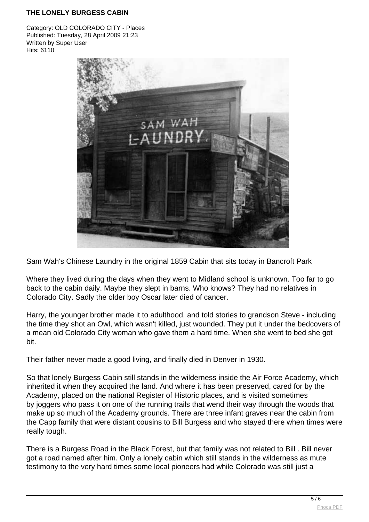Category: OLD COLORADO CITY - Places Published: Tuesday, 28 April 2009 21:23 Written by Super User Hits: 6110



Sam Wah's Chinese Laundry in the original 1859 Cabin that sits today in Bancroft Park

Where they lived during the days when they went to Midland school is unknown. Too far to go back to the cabin daily. Maybe they slept in barns. Who knows? They had no relatives in Colorado City. Sadly the older boy Oscar later died of cancer.

Harry, the younger brother made it to adulthood, and told stories to grandson Steve - including the time they shot an Owl, which wasn't killed, just wounded. They put it under the bedcovers of a mean old Colorado City woman who gave them a hard time. When she went to bed she got bit.

Their father never made a good living, and finally died in Denver in 1930.

So that lonely Burgess Cabin still stands in the wilderness inside the Air Force Academy, which inherited it when they acquired the land. And where it has been preserved, cared for by the Academy, placed on the national Register of Historic places, and is visited sometimes by joggers who pass it on one of the running trails that wend their way through the woods that make up so much of the Academy grounds. There are three infant graves near the cabin from the Capp family that were distant cousins to Bill Burgess and who stayed there when times were really tough.

There is a Burgess Road in the Black Forest, but that family was not related to Bill . Bill never got a road named after him. Only a lonely cabin which still stands in the wilderness as mute testimony to the very hard times some local pioneers had while Colorado was still just a